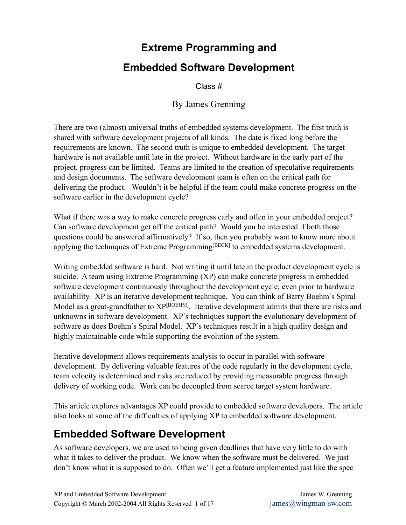## **Extreme Programming and**

#### **Embedded Software Development**

Class #

#### By James Grenning

There are two (almost) universal truths of embedded systems development. The first truth is shared with software development projects of all kinds. The date is fixed long before the requirements are known. The second truth is unique to embedded development. The target hardware is not available until late in the project. Without hardware in the early part of the project, progress can be limited. Teams are limited to the creation of speculative requirements and design documents. The software development team is often on the critical path for delivering the product. Wouldn't it be helpful if the team could make concrete progress on the software earlier in the development cycle?

What if there was a way to make concrete progress early and often in your embedded project? Can software development get off the critical path? Would you be interested if both those questions could be answered affirmatively? If so, then you probably want to know more about applying the techniques of Extreme Programming [BECK] to embedded systems development.

Writing embedded software is hard. Not writing it until late in the product development cycle is suicide. A team using Extreme Programming (XP) can make concrete progress in embedded software development continuously throughout the development cycle; even prior to hardware availability. XP is an iterative development technique. You can think of Barry Boehm's Spiral Model as a great-grandfather to XP<sup>[BOEHM]</sup>. Iterative development admits that there are risks and unknowns in software development. XP's techniques support the evolutionary development of software as does Boehm's Spiral Model. XP's techniques result in a high quality design and highly maintainable code while supporting the evolution of the system.

Iterative development allows requirements analysis to occur in parallel with software development. By delivering valuable features of the code regularly in the development cycle, team velocity is determined and risks are reduced by providing measurable progress through delivery of working code. Work can be decoupled from scarce target system hardware.

This article explores advantages XP could provide to embedded software developers. The article also looks at some of the difficulties of applying XP to embedded software development.

## **Embedded Software Development**

As software developers, we are used to being given deadlines that have very little to do with what it takes to deliver the product. We know when the software must be delivered. We just don't know what it is supposed to do. Often we'll get a feature implemented just like the spec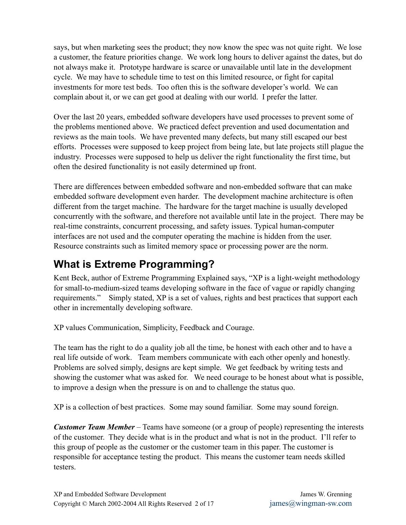says, but when marketing sees the product; they now know the spec was not quite right. We lose a customer, the feature priorities change. We work long hours to deliver against the dates, but do not always make it. Prototype hardware is scarce or unavailable until late in the development cycle. We may have to schedule time to test on this limited resource, or fight for capital investments for more test beds. Too often this is the software developer's world. We can complain about it, or we can get good at dealing with our world. I prefer the latter.

Over the last 20 years, embedded software developers have used processes to prevent some of the problems mentioned above. We practiced defect prevention and used documentation and reviews as the main tools. We have prevented many defects, but many still escaped our best efforts. Processes were supposed to keep project from being late, but late projects still plague the industry. Processes were supposed to help us deliver the right functionality the first time, but often the desired functionality is not easily determined up front.

There are differences between embedded software and non-embedded software that can make embedded software development even harder. The development machine architecture is often different from the target machine. The hardware for the target machine is usually developed concurrently with the software, and therefore not available until late in the project. There may be real-time constraints, concurrent processing, and safety issues. Typical human-computer interfaces are not used and the computer operating the machine is hidden from the user. Resource constraints such as limited memory space or processing power are the norm.

## **What is Extreme Programming?**

Kent Beck, author of Extreme Programming Explained says, "XP is a light-weight methodology for small-to-medium-sized teams developing software in the face of vague or rapidly changing requirements." Simply stated, XP is a set of values, rights and best practices that support each other in incrementally developing software.

XP values Communication, Simplicity, Feedback and Courage.

The team has the right to do a quality job all the time, be honest with each other and to have a real life outside of work. Team members communicate with each other openly and honestly. Problems are solved simply, designs are kept simple. We get feedback by writing tests and showing the customer what was asked for. We need courage to be honest about what is possible, to improve a design when the pressure is on and to challenge the status quo.

XP is a collection of best practices. Some may sound familiar. Some may sound foreign.

*Customer Team Member* – Teams have someone (or a group of people) representing the interests of the customer. They decide what is in the product and what is not in the product. I'll refer to this group of people as the customer or the customer team in this paper. The customer is responsible for acceptance testing the product. This means the customer team needs skilled testers.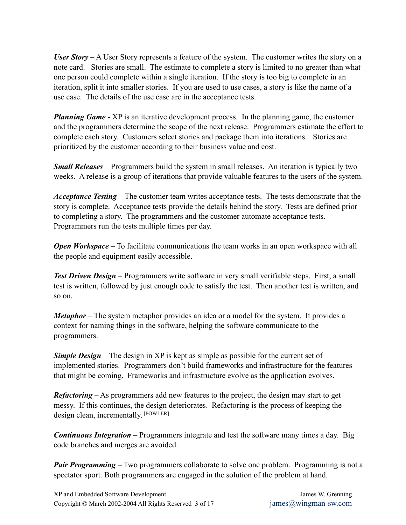*User Story* – A User Story represents a feature of the system. The customer writes the story on a note card. Stories are small. The estimate to complete a story is limited to no greater than what one person could complete within a single iteration. If the story is too big to complete in an iteration, split it into smaller stories. If you are used to use cases, a story is like the name of a use case. The details of the use case are in the acceptance tests.

*Planning Game* - XP is an iterative development process. In the planning game, the customer and the programmers determine the scope of the next release. Programmers estimate the effort to complete each story. Customers select stories and package them into iterations. Stories are prioritized by the customer according to their business value and cost.

*Small Releases* – Programmers build the system in small releases. An iteration is typically two weeks. A release is a group of iterations that provide valuable features to the users of the system.

*Acceptance Testing* – The customer team writes acceptance tests. The tests demonstrate that the story is complete. Acceptance tests provide the details behind the story. Tests are defined prior to completing a story. The programmers and the customer automate acceptance tests. Programmers run the tests multiple times per day.

*Open Workspace* – To facilitate communications the team works in an open workspace with all the people and equipment easily accessible.

*Test Driven Design* – Programmers write software in very small verifiable steps. First, a small test is written, followed by just enough code to satisfy the test. Then another test is written, and so on.

*Metaphor* – The system metaphor provides an idea or a model for the system. It provides a context for naming things in the software, helping the software communicate to the programmers.

*Simple Design* – The design in XP is kept as simple as possible for the current set of implemented stories. Programmers don't build frameworks and infrastructure for the features that might be coming. Frameworks and infrastructure evolve as the application evolves.

*Refactoring* – As programmers add new features to the project, the design may start to get messy. If this continues, the design deteriorates. Refactoring is the process of keeping the design clean, incrementally. [FOWLER]

*Continuous Integration* – Programmers integrate and test the software many times a day. Big code branches and merges are avoided.

*Pair Programming* – Two programmers collaborate to solve one problem. Programming is not a spectator sport. Both programmers are engaged in the solution of the problem at hand.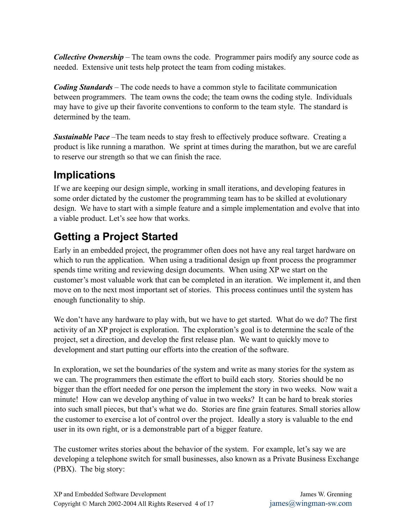*Collective Ownership* – The team owns the code. Programmer pairs modify any source code as needed. Extensive unit tests help protect the team from coding mistakes.

*Coding Standards* – The code needs to have a common style to facilitate communication between programmers. The team owns the code; the team owns the coding style. Individuals may have to give up their favorite conventions to conform to the team style. The standard is determined by the team.

**Sustainable** Pace –The team needs to stay fresh to effectively produce software. Creating a product is like running a marathon. We sprint at times during the marathon, but we are careful to reserve our strength so that we can finish the race.

## **Implications**

If we are keeping our design simple, working in small iterations, and developing features in some order dictated by the customer the programming team has to be skilled at evolutionary design. We have to start with a simple feature and a simple implementation and evolve that into a viable product. Let's see how that works.

# **Getting a Project Started**

Early in an embedded project, the programmer often does not have any real target hardware on which to run the application. When using a traditional design up front process the programmer spends time writing and reviewing design documents. When using XP we start on the customer's most valuable work that can be completed in an iteration. We implement it, and then move on to the next most important set of stories. This process continues until the system has enough functionality to ship.

We don't have any hardware to play with, but we have to get started. What do we do? The first activity of an XP project is exploration. The exploration's goal is to determine the scale of the project, set a direction, and develop the first release plan. We want to quickly move to development and start putting our efforts into the creation of the software.

In exploration, we set the boundaries of the system and write as many stories for the system as we can. The programmers then estimate the effort to build each story. Stories should be no bigger than the effort needed for one person the implement the story in two weeks. Now wait a minute! How can we develop anything of value in two weeks? It can be hard to break stories into such small pieces, but that's what we do. Stories are fine grain features. Small stories allow the customer to exercise a lot of control over the project. Ideally a story is valuable to the end user in its own right, or is a demonstrable part of a bigger feature.

The customer writes stories about the behavior of the system. For example, let's say we are developing a telephone switch for small businesses, also known as a Private Business Exchange (PBX). The big story: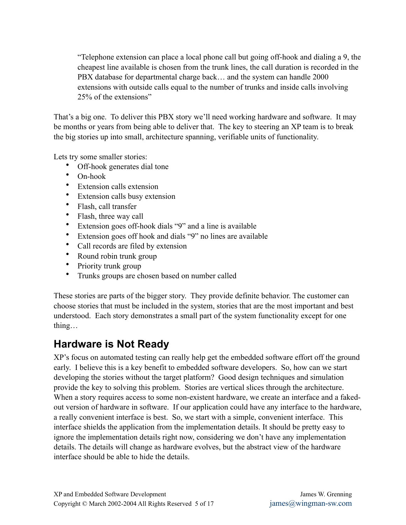"Telephone extension can place a local phone call but going off-hook and dialing a 9, the cheapest line available is chosen from the trunk lines, the call duration is recorded in the PBX database for departmental charge back… and the system can handle 2000 extensions with outside calls equal to the number of trunks and inside calls involving 25% of the extensions"

That's a big one. To deliver this PBX story we'll need working hardware and software. It may be months or years from being able to deliver that. The key to steering an XP team is to break the big stories up into small, architecture spanning, verifiable units of functionality.

Lets try some smaller stories:

- Off-hook generates dial tone
- On-hook
- Extension calls extension
- Extension calls busy extension
- Flash, call transfer
- Flash, three way call
- Extension goes off-hook dials "9" and a line is available
- Extension goes off hook and dials "9" no lines are available
- Call records are filed by extension
- Round robin trunk group
- Priority trunk group
- Trunks groups are chosen based on number called

These stories are parts of the bigger story. They provide definite behavior. The customer can choose stories that must be included in the system, stories that are the most important and best understood. Each story demonstrates a small part of the system functionality except for one thing…

#### **Hardware is Not Ready**

XP's focus on automated testing can really help get the embedded software effort off the ground early. I believe this is a key benefit to embedded software developers. So, how can we start developing the stories without the target platform? Good design techniques and simulation provide the key to solving this problem. Stories are vertical slices through the architecture. When a story requires access to some non-existent hardware, we create an interface and a fakedout version of hardware in software. If our application could have any interface to the hardware, a really convenient interface is best. So, we start with a simple, convenient interface. This interface shields the application from the implementation details. It should be pretty easy to ignore the implementation details right now, considering we don't have any implementation details. The details will change as hardware evolves, but the abstract view of the hardware interface should be able to hide the details.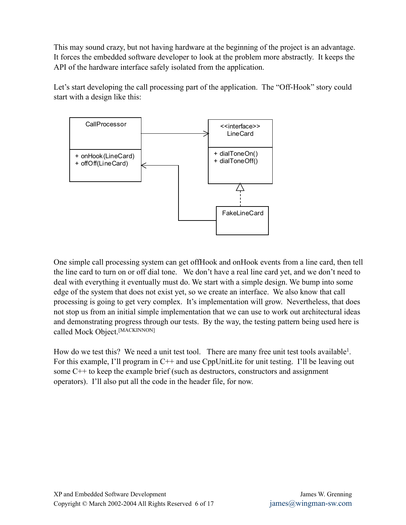This may sound crazy, but not having hardware at the beginning of the project is an advantage. It forces the embedded software developer to look at the problem more abstractly. It keeps the API of the hardware interface safely isolated from the application.

Let's start developing the call processing part of the application. The "Off-Hook" story could start with a design like this:



One simple call processing system can get offHook and onHook events from a line card, then tell the line card to turn on or off dial tone. We don't have a real line card yet, and we don't need to deal with everything it eventually must do. We start with a simple design. We bump into some edge of the system that does not exist yet, so we create an interface. We also know that call processing is going to get very complex. It's implementation will grow. Nevertheless, that does not stop us from an initial simple implementation that we can use to work out architectural ideas and demonstrating progress through our tests. By the way, the testing pattern being used here is called Mock Object.<sup>[MACKINNON]</sup>

How do we test this? We need a unit test tool. There are many free unit test tools available<sup>1</sup>. For this example, I'll program in C<sup>++</sup> and use CppUnitLite for unit testing. I'll be leaving out some C++ to keep the example brief (such as destructors, constructors and assignment operators). I'll also put all the code in the header file, for now.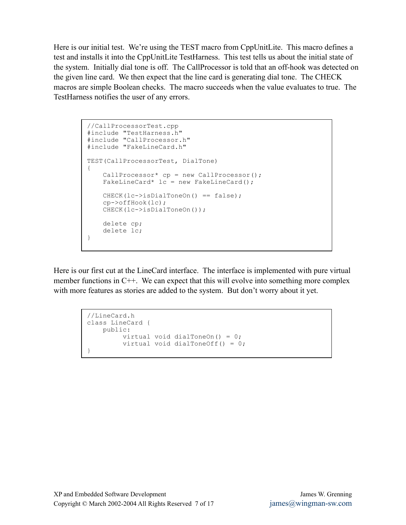Here is our initial test. We're using the TEST macro from CppUnitLite. This macro defines a test and installs it into the CppUnitLite TestHarness. This test tells us about the initial state of the system. Initially dial tone is off. The CallProcessor is told that an off-hook was detected on the given line card. We then expect that the line card is generating dial tone. The CHECK macros are simple Boolean checks. The macro succeeds when the value evaluates to true. The TestHarness notifies the user of any errors.

```
//CallProcessorTest.cpp
#include "TestHarness.h"
#include "CallProcessor.h"
#include "FakeLineCard.h"
TEST(CallProcessorTest, DialTone)
{
   CallProcessor* cp = new CallProcessor();
   FakeLineCard* lc = new FakeLineCard();
   CHECK(lc->isDialToneOn() == false);
   cp->offHook(lc);
   CHECK(lc->isDialToneOn());
   delete cp;
   delete lc;
}
```
Here is our first cut at the LineCard interface. The interface is implemented with pure virtual member functions in C++. We can expect that this will evolve into something more complex with more features as stories are added to the system. But don't worry about it yet.

```
//LineCard.h
class LineCard {
  public:
      virtual void dialToneOn() = 0;
        virtual void dialToneOff() = 0;
}
```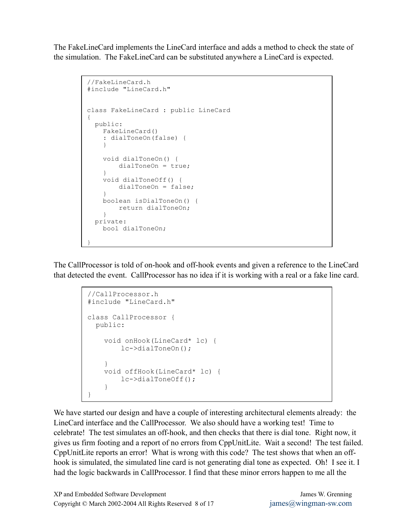The FakeLineCard implements the LineCard interface and adds a method to check the state of the simulation. The FakeLineCard can be substituted anywhere a LineCard is expected.

```
//FakeLineCard.h
#include "LineCard.h"
class FakeLineCard : public LineCard
{
 public:
   FakeLineCard()
   : dialToneOn(false) {
    }
   void dialToneOn() {
       dialToneOn = true;
   }
   void dialToneOff() {
       dialToneOn = false;
    }
   boolean isDialToneOn() {
       return dialToneOn;
   }
  private:
   bool dialToneOn;
}
```
The CallProcessor is told of on-hook and off-hook events and given a reference to the LineCard that detected the event. CallProcessor has no idea if it is working with a real or a fake line card.

```
//CallProcessor.h
#include "LineCard.h"
class CallProcessor {
 public:
    void onHook(LineCard* lc) {
       lc->dialToneOn();
    }
    void offHook(LineCard* lc) {
      lc->dialToneOff();
    }
}
```
We have started our design and have a couple of interesting architectural elements already: the LineCard interface and the CallProcessor. We also should have a working test! Time to celebrate! The test simulates an off-hook, and then checks that there is dial tone. Right now, it gives us firm footing and a report of no errors from CppUnitLite. Wait a second! The test failed. CppUnitLite reports an error! What is wrong with this code? The test shows that when an offhook is simulated, the simulated line card is not generating dial tone as expected. Oh! I see it. I had the logic backwards in CallProcessor. I find that these minor errors happen to me all the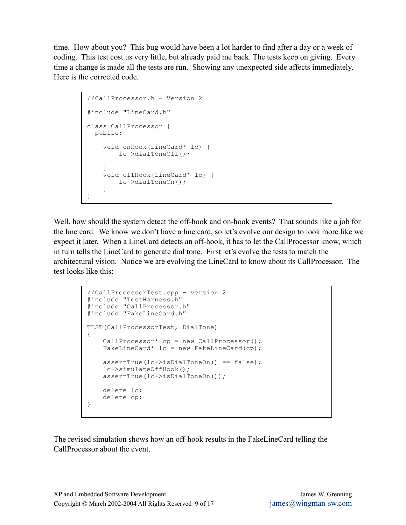time. How about you? This bug would have been a lot harder to find after a day or a week of coding. This test cost us very little, but already paid me back. The tests keep on giving. Every time a change is made all the tests are run. Showing any unexpected side affects immediately. Here is the corrected code.

```
//CallProcessor.h - Version 2
#include "LineCard.h"
class CallProcessor {
 public:
   void onHook(LineCard* lc) {
       lc->dialToneOff();
    }
   void offHook(LineCard* lc) {
       lc->dialToneOn();
    }
}
```
Well, how should the system detect the off-hook and on-hook events? That sounds like a job for the line card. We know we don't have a line card, so let's evolve our design to look more like we expect it later. When a LineCard detects an off-hook, it has to let the CallProcessor know, which in turn tells the LineCard to generate dial tone. First let's evolve the tests to match the architectural vision. Notice we are evolving the LineCard to know about its CallProcessor. The test looks like this:

```
//CallProcessorTest.cpp - version 2
#include "TestHarness.h"
#include "CallProcessor.h"
#include "FakeLineCard.h"
TEST(CallProcessorTest, DialTone)
{
   CallProcessor* cp = new CallProcessor();
   FakeLineCard* lc = new FakeLineCard(cp);
   assertTrue(lc->isDialToneOn() == false);lc->simulateOffHook();
   assertTrue(lc->isDialToneOn());
   delete lc;
   delete cp;
}
```
The revised simulation shows how an off-hook results in the FakeLineCard telling the CallProcessor about the event.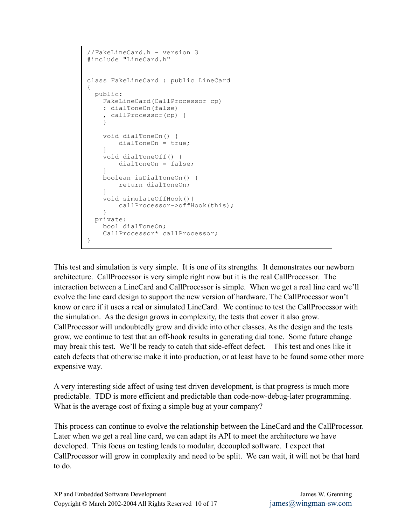```
//FakeLineCard.h - version 3
#include "LineCard.h"
class FakeLineCard : public LineCard
{
 public:
   FakeLineCard(CallProcessor cp)
    : dialToneOn(false)
    , callProcessor(cp) {
    }
   void dialToneOn() {
       dialToneOn = true;
    }
   void dialToneOff() {
       dialToneOn = false;
    }
   boolean isDialToneOn() {
       return dialToneOn;
    }
   void simulateOffHook(){
       callProcessor->offHook(this);
   }
 private:
  bool dialToneOn;
   CallProcessor* callProcessor;
}
```
This test and simulation is very simple. It is one of its strengths. It demonstrates our newborn architecture. CallProcessor is very simple right now but it is the real CallProcessor. The interaction between a LineCard and CallProcessor is simple. When we get a real line card we'll evolve the line card design to support the new version of hardware. The CallProcessor won't know or care if it uses a real or simulated LineCard. We continue to test the CallProcessor with the simulation. As the design grows in complexity, the tests that cover it also grow. CallProcessor will undoubtedly grow and divide into other classes. As the design and the tests grow, we continue to test that an off-hook results in generating dial tone. Some future change may break this test. We'll be ready to catch that side-effect defect. This test and ones like it catch defects that otherwise make it into production, or at least have to be found some other more expensive way.

A very interesting side affect of using test driven development, is that progress is much more predictable. TDD is more efficient and predictable than code-now-debug-later programming. What is the average cost of fixing a simple bug at your company?

This process can continue to evolve the relationship between the LineCard and the CallProcessor. Later when we get a real line card, we can adapt its API to meet the architecture we have developed. This focus on testing leads to modular, decoupled software. I expect that CallProcessor will grow in complexity and need to be split. We can wait, it will not be that hard to do.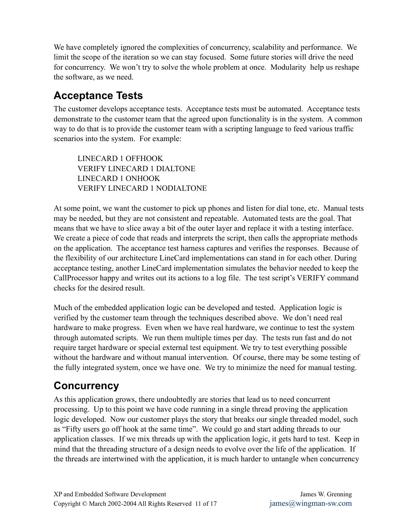We have completely ignored the complexities of concurrency, scalability and performance. We limit the scope of the iteration so we can stay focused. Some future stories will drive the need for concurrency. We won't try to solve the whole problem at once. Modularity help us reshape the software, as we need.

# **Acceptance Tests**

The customer develops acceptance tests. Acceptance tests must be automated. Acceptance tests demonstrate to the customer team that the agreed upon functionality is in the system. A common way to do that is to provide the customer team with a scripting language to feed various traffic scenarios into the system. For example:

LINECARD 1 OFFHOOK VERIFY LINECARD 1 DIALTONE LINECARD 1 ONHOOK VERIFY LINECARD 1 NODIALTONE

At some point, we want the customer to pick up phones and listen for dial tone, etc. Manual tests may be needed, but they are not consistent and repeatable. Automated tests are the goal. That means that we have to slice away a bit of the outer layer and replace it with a testing interface. We create a piece of code that reads and interprets the script, then calls the appropriate methods on the application. The acceptance test harness captures and verifies the responses. Because of the flexibility of our architecture LineCard implementations can stand in for each other. During acceptance testing, another LineCard implementation simulates the behavior needed to keep the CallProcessor happy and writes out its actions to a log file. The test script's VERIFY command checks for the desired result.

Much of the embedded application logic can be developed and tested. Application logic is verified by the customer team through the techniques described above. We don't need real hardware to make progress. Even when we have real hardware, we continue to test the system through automated scripts. We run them multiple times per day. The tests run fast and do not require target hardware or special external test equipment. We try to test everything possible without the hardware and without manual intervention. Of course, there may be some testing of the fully integrated system, once we have one. We try to minimize the need for manual testing.

## **Concurrency**

As this application grows, there undoubtedly are stories that lead us to need concurrent processing. Up to this point we have code running in a single thread proving the application logic developed. Now our customer plays the story that breaks our single threaded model, such as "Fifty users go off hook at the same time". We could go and start adding threads to our application classes. If we mix threads up with the application logic, it gets hard to test. Keep in mind that the threading structure of a design needs to evolve over the life of the application. If the threads are intertwined with the application, it is much harder to untangle when concurrency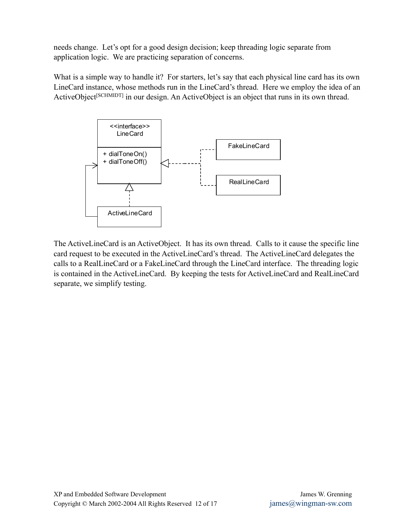needs change. Let's opt for a good design decision; keep threading logic separate from application logic. We are practicing separation of concerns.

What is a simple way to handle it? For starters, let's say that each physical line card has its own LineCard instance, whose methods run in the LineCard's thread. Here we employ the idea of an ActiveObject<sup>[SCHMIDT]</sup> in our design. An ActiveObject is an object that runs in its own thread.



The ActiveLineCard is an ActiveObject. It has its own thread. Calls to it cause the specific line card request to be executed in the ActiveLineCard's thread. The ActiveLineCard delegates the calls to a RealLineCard or a FakeLineCard through the LineCard interface. The threading logic is contained in the ActiveLineCard. By keeping the tests for ActiveLineCard and RealLineCard separate, we simplify testing.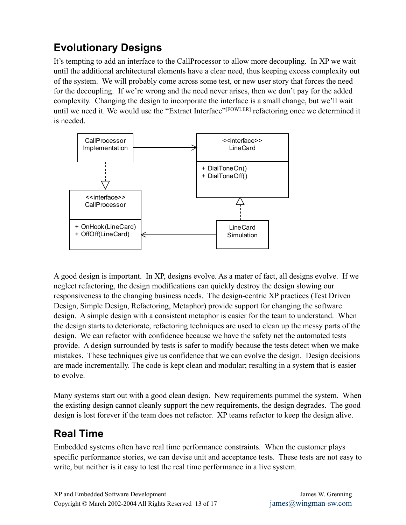# **Evolutionary Designs**

It's tempting to add an interface to the CallProcessor to allow more decoupling. In XP we wait until the additional architectural elements have a clear need, thus keeping excess complexity out of the system. We will probably come across some test, or new user story that forces the need for the decoupling. If we're wrong and the need never arises, then we don't pay for the added complexity. Changing the design to incorporate the interface is a small change, but we'll wait until we need it. We would use the "Extract Interface" <sup>[FOWLER]</sup> refactoring once we determined it is needed.



A good design is important. In XP, designs evolve. As a mater of fact, all designs evolve. If we neglect refactoring, the design modifications can quickly destroy the design slowing our responsiveness to the changing business needs. The design-centric XP practices (Test Driven Design, Simple Design, Refactoring, Metaphor) provide support for changing the software design. A simple design with a consistent metaphor is easier for the team to understand. When the design starts to deteriorate, refactoring techniques are used to clean up the messy parts of the design. We can refactor with confidence because we have the safety net the automated tests provide. A design surrounded by tests is safer to modify because the tests detect when we make mistakes. These techniques give us confidence that we can evolve the design. Design decisions are made incrementally. The code is kept clean and modular; resulting in a system that is easier to evolve.

Many systems start out with a good clean design. New requirements pummel the system. When the existing design cannot cleanly support the new requirements, the design degrades. The good design is lost forever if the team does not refactor. XP teams refactor to keep the design alive.

#### **Real Time**

Embedded systems often have real time performance constraints. When the customer plays specific performance stories, we can devise unit and acceptance tests. These tests are not easy to write, but neither is it easy to test the real time performance in a live system.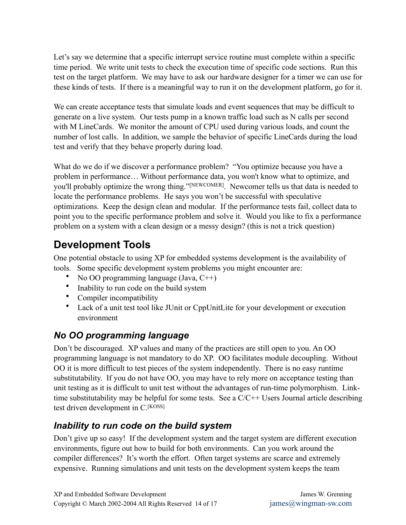Let's say we determine that a specific interrupt service routine must complete within a specific time period. We write unit tests to check the execution time of specific code sections. Run this test on the target platform. We may have to ask our hardware designer for a timer we can use for these kinds of tests. If there is a meaningful way to run it on the development platform, go for it.

We can create acceptance tests that simulate loads and event sequences that may be difficult to generate on a live system. Our tests pump in a known traffic load such as N calls per second with M LineCards. We monitor the amount of CPU used during various loads, and count the number of lost calls. In addition, we sample the behavior of specific LineCards during the load test and verify that they behave properly during load.

What do we do if we discover a performance problem? "You optimize because you have a problem in performance… Without performance data, you won't know what to optimize, and you'll probably optimize the wrong thing." <sup>[NEWCOMER]</sup>. Newcomer tells us that data is needed to locate the performance problems. He says you won't be successful with speculative optimizations. Keep the design clean and modular. If the performance tests fail, collect data to point you to the specific performance problem and solve it. Would you like to fix a performance problem on a system with a clean design or a messy design? (this is not a trick question)

## **Development Tools**

One potential obstacle to using XP for embedded systems development is the availability of tools. Some specific development system problems you might encounter are:

- No OO programming language (Java, C++)
- Inability to run code on the build system
- Compiler incompatibility
- Lack of a unit test tool like JUnit or CppUnitLite for your development or execution environment

#### *No OO programming language*

Don't be discouraged. XP values and many of the practices are still open to you. An OO programming language is not mandatory to do XP. OO facilitates module decoupling. Without OO it is more difficult to test pieces of the system independently. There is no easy runtime substitutability. If you do not have OO, you may have to rely more on acceptance testing than unit testing as it is difficult to unit test without the advantages of run-time polymorphism. Linktime substitutability may be helpful for some tests. See a  $C/C++$  Users Journal article describing test driven development in C.<sup>[KOSS]</sup>

#### *Inability to run code on the build system*

Don't give up so easy! If the development system and the target system are different execution environments, figure out how to build for both environments. Can you work around the compiler differences? It's worth the effort. Often target systems are scarce and extremely expensive. Running simulations and unit tests on the development system keeps the team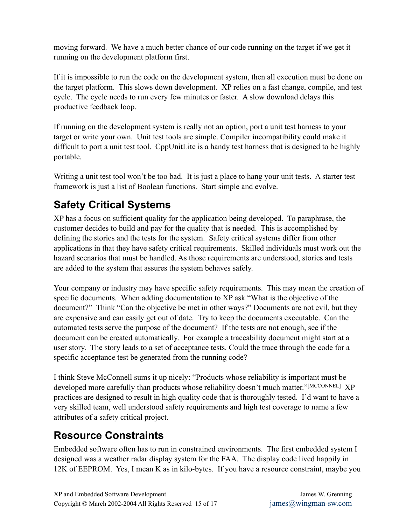moving forward. We have a much better chance of our code running on the target if we get it running on the development platform first.

If it is impossible to run the code on the development system, then all execution must be done on the target platform. This slows down development. XP relies on a fast change, compile, and test cycle. The cycle needs to run every few minutes or faster. A slow download delays this productive feedback loop.

If running on the development system is really not an option, port a unit test harness to your target or write your own. Unit test tools are simple. Compiler incompatibility could make it difficult to port a unit test tool. CppUnitLite is a handy test harness that is designed to be highly portable.

Writing a unit test tool won't be too bad. It is just a place to hang your unit tests. A starter test framework is just a list of Boolean functions. Start simple and evolve.

# **Safety Critical Systems**

XP has a focus on sufficient quality for the application being developed. To paraphrase, the customer decides to build and pay for the quality that is needed. This is accomplished by defining the stories and the tests for the system. Safety critical systems differ from other applications in that they have safety critical requirements. Skilled individuals must work out the hazard scenarios that must be handled. As those requirements are understood, stories and tests are added to the system that assures the system behaves safely.

Your company or industry may have specific safety requirements. This may mean the creation of specific documents. When adding documentation to XP ask "What is the objective of the document?" Think "Can the objective be met in other ways?" Documents are not evil, but they are expensive and can easily get out of date. Try to keep the documents executable. Can the automated tests serve the purpose of the document? If the tests are not enough, see if the document can be created automatically. For example a traceability document might start at a user story. The story leads to a set of acceptance tests. Could the trace through the code for a specific acceptance test be generated from the running code?

I think Steve McConnell sums it up nicely: "Products whose reliability is important must be developed more carefully than products whose reliability doesn't much matter."[MCCONNEL] XP practices are designed to result in high quality code that is thoroughly tested. I'd want to have a very skilled team, well understood safety requirements and high test coverage to name a few attributes of a safety critical project.

## **Resource Constraints**

Embedded software often has to run in constrained environments. The first embedded system I designed was a weather radar display system for the FAA. The display code lived happily in 12K of EEPROM. Yes, I mean K as in kilo-bytes. If you have a resource constraint, maybe you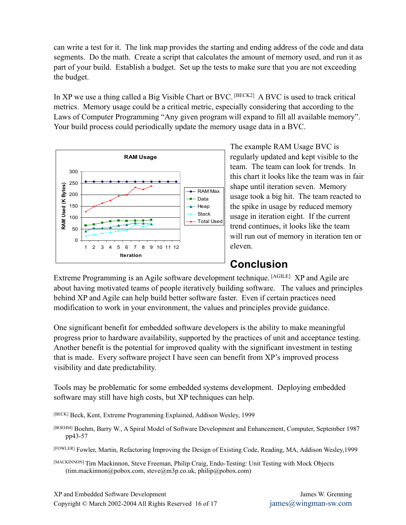can write a test for it. The link map provides the starting and ending address of the code and data segments. Do the math. Create a script that calculates the amount of memory used, and run it as part of your build. Establish a budget. Set up the tests to make sure that you are not exceeding the budget.

In XP we use a thing called a Big Visible Chart or BVC.  $[<sup>BECK2</sup>]$  A BVC is used to track critical metrics. Memory usage could be a critical metric, especially considering that according to the Laws of Computer Programming "Any given program will expand to fill all available memory". Your build process could periodically update the memory usage data in a BVC.



The example RAM Usage BVC is regularly updated and kept visible to the team. The team can look for trends. In this chart it looks like the team was in fair shape until iteration seven. Memory usage took a big hit. The team reacted to the spike in usage by reduced memory usage in iteration eight. If the current trend continues, it looks like the team will run out of memory in iteration ten or eleven.

#### **Conclusion**

Extreme Programming is an Agile software development technique. [AGILE] XP and Agile are about having motivated teams of people iteratively building software. The values and principles behind XP and Agile can help build better software faster. Even if certain practices need modification to work in your environment, the values and principles provide guidance.

One significant benefit for embedded software developers is the ability to make meaningful progress prior to hardware availability, supported by the practices of unit and acceptance testing. Another benefit is the potential for improved quality with the significant investment in testing that is made. Every software project I have seen can benefit from XP's improved process visibility and date predictability.

Tools may be problematic for some embedded systems development. Deploying embedded software may still have high costs, but XP techniques can help.

[BECK] Beck, Kent, Extreme Programming Explained, Addison Wesley, 1999

[BOEHM] Boehm, Barry W., A Spiral Model of Software Development and Enhancement, Computer, September 1987 pp43-57

Fowler, Martin, Refactoring Improving the Design of Existing Code, Reading, MA, Addison Wesley,1999 [FOWLER]

[MACKINNON] Tim Mackinnon, Steve Freeman, Philip Craig, Endo-Testing: Unit Testing with Mock Objects (tim.mackinnon@pobox.com, steve@m3p.co.uk, [philip@pobox.com\)](mailto:philip@pobox.com)

XP and Embedded Software Development James W. Grenning Copyright © March 2002-2004 All Rights Reserved 16 of 17  $\frac{1}{\text{ames}(a)}$  iames  $\frac{1}{\text{ames}(a)}$  iames in  $\frac{1}{\text{ames}(a)}$